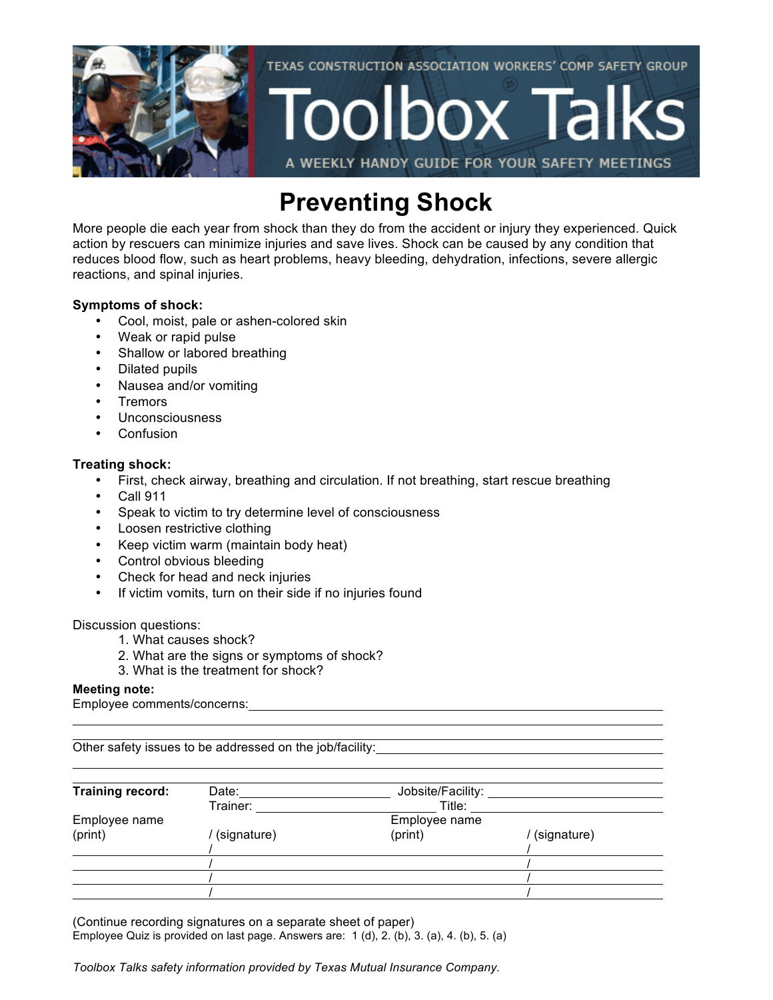

### **Preventing Shock**

More people die each year from shock than they do from the accident or injury they experienced. Quick action by rescuers can minimize injuries and save lives. Shock can be caused by any condition that reduces blood flow, such as heart problems, heavy bleeding, dehydration, infections, severe allergic reactions, and spinal injuries.

#### **Symptoms of shock:**

- Cool, moist, pale or ashen-colored skin
- Weak or rapid pulse
- Shallow or labored breathing
- Dilated pupils
- Nausea and/or vomiting
- Tremors
- Unconsciousness
- Confusion

#### **Treating shock:**

- First, check airway, breathing and circulation. If not breathing, start rescue breathing
- Call 911
- Speak to victim to try determine level of consciousness
- Loosen restrictive clothing
- Keep victim warm (maintain body heat)
- Control obvious bleeding
- Check for head and neck injuries
- If victim vomits, turn on their side if no injuries found

#### Discussion questions:

- 1. What causes shock?
- 2. What are the signs or symptoms of shock?
- 3. What is the treatment for shock?

#### **Meeting note:**

Employee comments/concerns:

Other safety issues to be addressed on the job/facility:

| <b>Training record:</b> | Date:       | Jobsite/Facility: |             |
|-------------------------|-------------|-------------------|-------------|
|                         | Trainer:    | Title:            |             |
| Employee name           |             | Employee name     |             |
| (print)                 | (signature) | (print)           | (signature) |
|                         |             |                   |             |
|                         |             |                   |             |
|                         |             |                   |             |
|                         |             |                   |             |

(Continue recording signatures on a separate sheet of paper) Employee Quiz is provided on last page. Answers are: 1 (d), 2. (b), 3. (a), 4. (b), 5. (a)

*Toolbox Talks safety information provided by Texas Mutual Insurance Company.*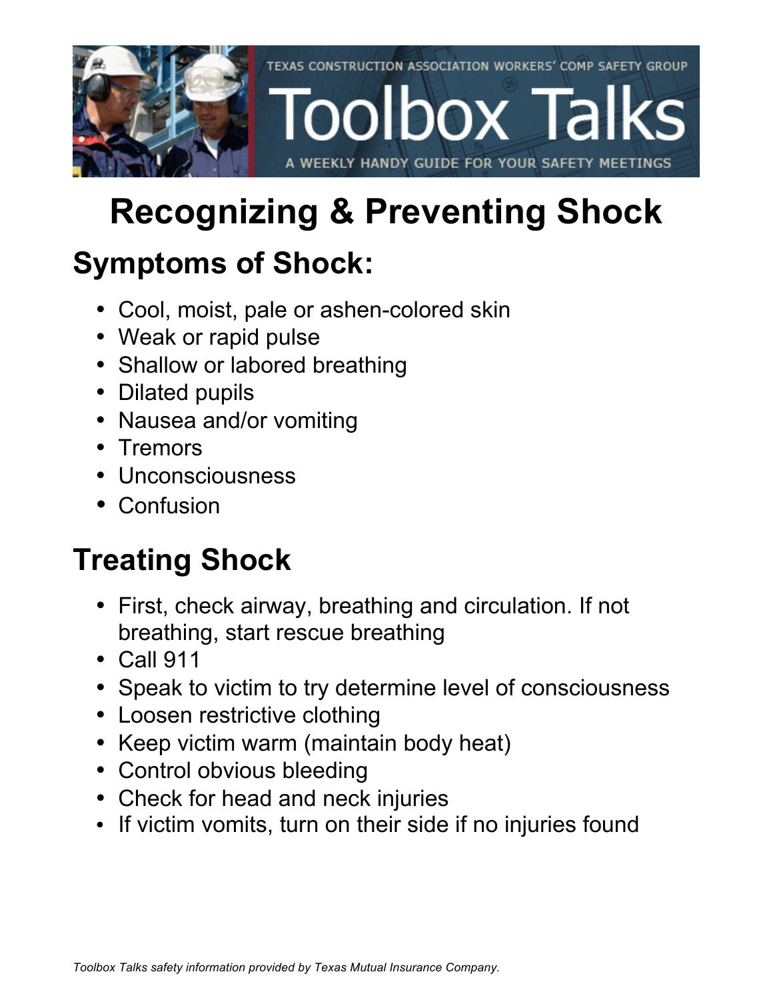

# **Recognizing & Preventing Shock**

# **Symptoms of Shock:**

- Cool, moist, pale or ashen-colored skin
- Weak or rapid pulse
- Shallow or labored breathing
- Dilated pupils
- Nausea and/or vomiting
- Tremors
- Unconsciousness
- Confusion

# **Treating Shock**

- First, check airway, breathing and circulation. If not breathing, start rescue breathing
- Call 911
- Speak to victim to try determine level of consciousness
- Loosen restrictive clothing
- Keep victim warm (maintain body heat)
- Control obvious bleeding
- Check for head and neck injuries
- If victim vomits, turn on their side if no injuries found